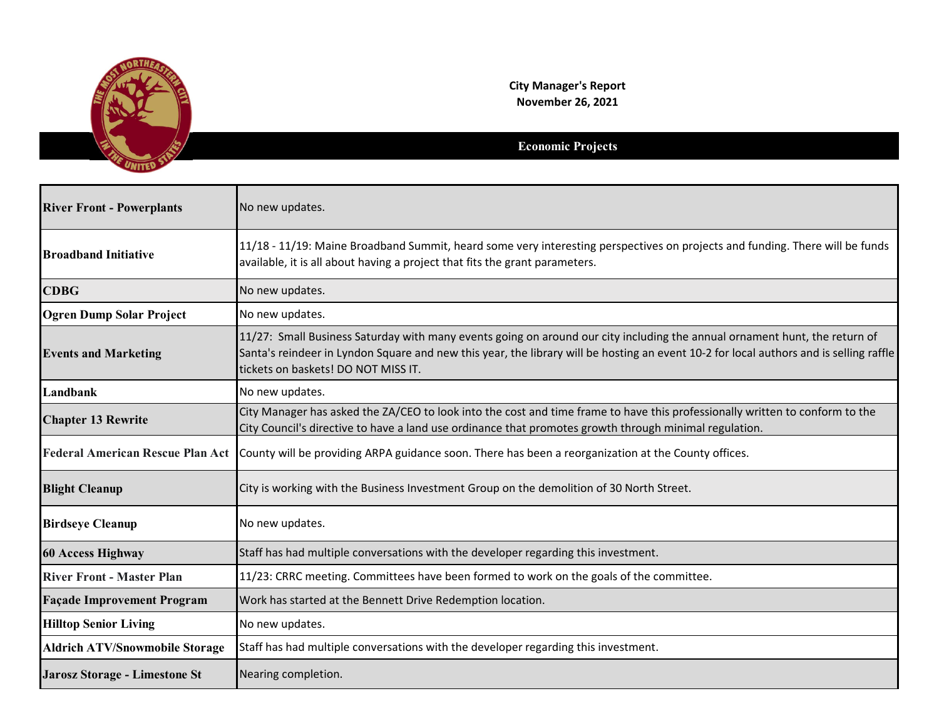

**City Manager's Report November 26, 2021**

## **Economic Projects**

| <b>River Front - Powerplants</b>      | No new updates.                                                                                                                                                                                                                                                                                             |
|---------------------------------------|-------------------------------------------------------------------------------------------------------------------------------------------------------------------------------------------------------------------------------------------------------------------------------------------------------------|
| <b>Broadband Initiative</b>           | 11/18 - 11/19: Maine Broadband Summit, heard some very interesting perspectives on projects and funding. There will be funds<br>available, it is all about having a project that fits the grant parameters.                                                                                                 |
| <b>CDBG</b>                           | No new updates.                                                                                                                                                                                                                                                                                             |
| <b>Ogren Dump Solar Project</b>       | No new updates.                                                                                                                                                                                                                                                                                             |
| <b>Events and Marketing</b>           | 11/27: Small Business Saturday with many events going on around our city including the annual ornament hunt, the return of<br>Santa's reindeer in Lyndon Square and new this year, the library will be hosting an event 10-2 for local authors and is selling raffle<br>tickets on baskets! DO NOT MISS IT. |
| Landbank                              | No new updates.                                                                                                                                                                                                                                                                                             |
| <b>Chapter 13 Rewrite</b>             | City Manager has asked the ZA/CEO to look into the cost and time frame to have this professionally written to conform to the<br>City Council's directive to have a land use ordinance that promotes growth through minimal regulation.                                                                      |
|                                       | Federal American Rescue Plan Act County will be providing ARPA guidance soon. There has been a reorganization at the County offices.                                                                                                                                                                        |
| <b>Blight Cleanup</b>                 | City is working with the Business Investment Group on the demolition of 30 North Street.                                                                                                                                                                                                                    |
| <b>Birdseye Cleanup</b>               | No new updates.                                                                                                                                                                                                                                                                                             |
| <b>60 Access Highway</b>              | Staff has had multiple conversations with the developer regarding this investment.                                                                                                                                                                                                                          |
| <b>River Front - Master Plan</b>      | 11/23: CRRC meeting. Committees have been formed to work on the goals of the committee.                                                                                                                                                                                                                     |
| <b>Façade Improvement Program</b>     | Work has started at the Bennett Drive Redemption location.                                                                                                                                                                                                                                                  |
| <b>Hilltop Senior Living</b>          | No new updates.                                                                                                                                                                                                                                                                                             |
| <b>Aldrich ATV/Snowmobile Storage</b> | Staff has had multiple conversations with the developer regarding this investment.                                                                                                                                                                                                                          |
| <b>Jarosz Storage - Limestone St</b>  | Nearing completion.                                                                                                                                                                                                                                                                                         |